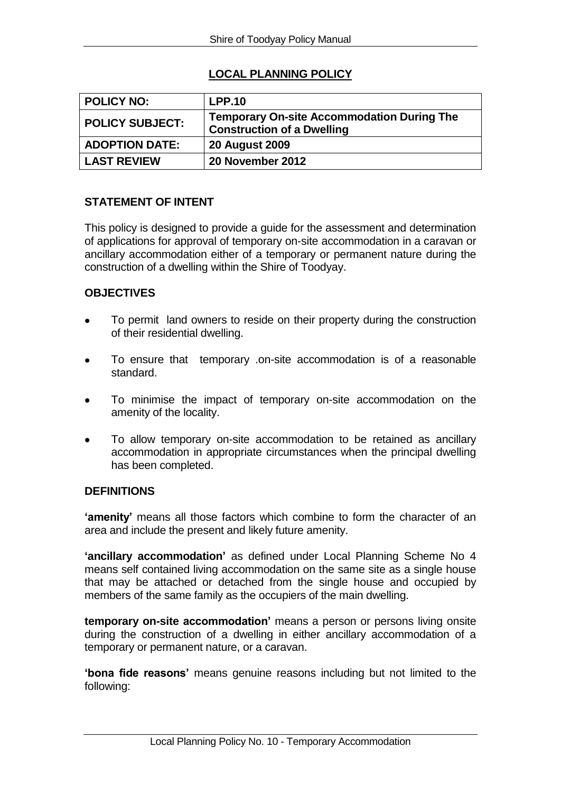# **LOCAL PLANNING POLICY**

| <b>POLICY NO:</b>      | <b>LPP.10</b>                                                                          |
|------------------------|----------------------------------------------------------------------------------------|
| <b>POLICY SUBJECT:</b> | <b>Temporary On-site Accommodation During The</b><br><b>Construction of a Dwelling</b> |
| <b>ADOPTION DATE:</b>  | <b>20 August 2009</b>                                                                  |
| <b>LAST REVIEW</b>     | 20 November 2012                                                                       |

#### **STATEMENT OF INTENT**

This policy is designed to provide a guide for the assessment and determination of applications for approval of temporary on-site accommodation in a caravan or ancillary accommodation either of a temporary or permanent nature during the construction of a dwelling within the Shire of Toodyay.

### **OBJECTIVES**

- To permit land owners to reside on their property during the construction of their residential dwelling.
- To ensure that temporary .on-site accommodation is of a reasonable standard.
- To minimise the impact of temporary on-site accommodation on the amenity of the locality.
- To allow temporary on-site accommodation to be retained as ancillary accommodation in appropriate circumstances when the principal dwelling has been completed.

#### **DEFINITIONS**

**'amenity'** means all those factors which combine to form the character of an area and include the present and likely future amenity.

**'ancillary accommodation'** as defined under Local Planning Scheme No 4 means self contained living accommodation on the same site as a single house that may be attached or detached from the single house and occupied by members of the same family as the occupiers of the main dwelling.

**temporary on-site accommodation'** means a person or persons living onsite during the construction of a dwelling in either ancillary accommodation of a temporary or permanent nature, or a caravan.

**'bona fide reasons'** means genuine reasons including but not limited to the following: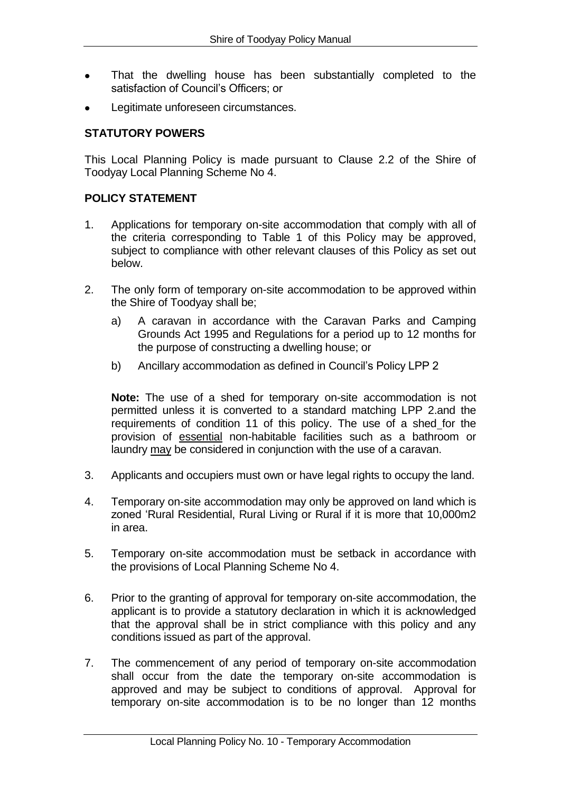- That the dwelling house has been substantially completed to the satisfaction of Council's Officers; or
- Legitimate unforeseen circumstances.

## **STATUTORY POWERS**

This Local Planning Policy is made pursuant to Clause 2.2 of the Shire of Toodyay Local Planning Scheme No 4.

#### **POLICY STATEMENT**

- 1. Applications for temporary on-site accommodation that comply with all of the criteria corresponding to Table 1 of this Policy may be approved, subject to compliance with other relevant clauses of this Policy as set out below.
- 2. The only form of temporary on-site accommodation to be approved within the Shire of Toodyay shall be;
	- a) A caravan in accordance with the Caravan Parks and Camping Grounds Act 1995 and Regulations for a period up to 12 months for the purpose of constructing a dwelling house; or
	- b) Ancillary accommodation as defined in Council's Policy LPP 2

**Note:** The use of a shed for temporary on-site accommodation is not permitted unless it is converted to a standard matching LPP 2.and the requirements of condition 11 of this policy. The use of a shed for the provision of essential non-habitable facilities such as a bathroom or laundry may be considered in conjunction with the use of a caravan.

- 3. Applicants and occupiers must own or have legal rights to occupy the land.
- 4. Temporary on-site accommodation may only be approved on land which is zoned 'Rural Residential, Rural Living or Rural if it is more that 10,000m2 in area.
- 5. Temporary on-site accommodation must be setback in accordance with the provisions of Local Planning Scheme No 4.
- 6. Prior to the granting of approval for temporary on-site accommodation, the applicant is to provide a statutory declaration in which it is acknowledged that the approval shall be in strict compliance with this policy and any conditions issued as part of the approval.
- 7. The commencement of any period of temporary on-site accommodation shall occur from the date the temporary on-site accommodation is approved and may be subject to conditions of approval. Approval for temporary on-site accommodation is to be no longer than 12 months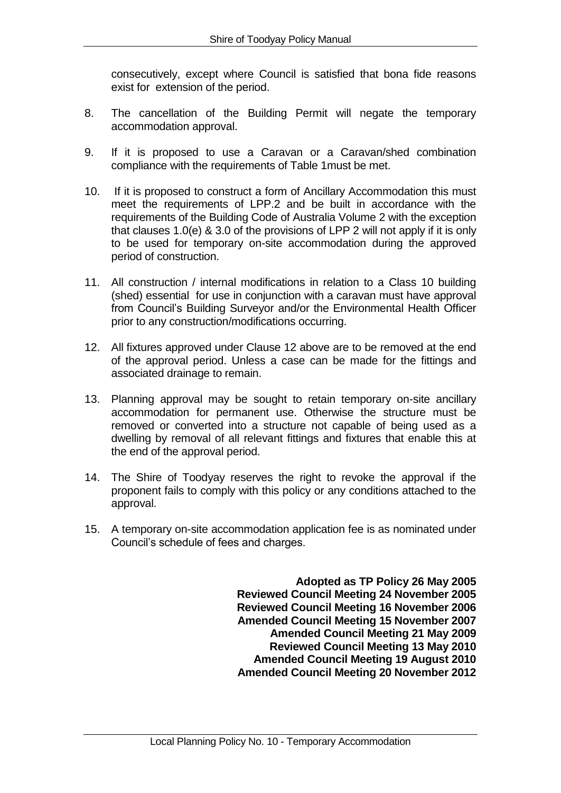consecutively, except where Council is satisfied that bona fide reasons exist for extension of the period.

- 8. The cancellation of the Building Permit will negate the temporary accommodation approval.
- 9. If it is proposed to use a Caravan or a Caravan/shed combination compliance with the requirements of Table 1must be met.
- 10. If it is proposed to construct a form of Ancillary Accommodation this must meet the requirements of LPP.2 and be built in accordance with the requirements of the Building Code of Australia Volume 2 with the exception that clauses 1.0(e) & 3.0 of the provisions of LPP 2 will not apply if it is only to be used for temporary on-site accommodation during the approved period of construction.
- 11. All construction / internal modifications in relation to a Class 10 building (shed) essential for use in conjunction with a caravan must have approval from Council's Building Surveyor and/or the Environmental Health Officer prior to any construction/modifications occurring.
- 12. All fixtures approved under Clause 12 above are to be removed at the end of the approval period. Unless a case can be made for the fittings and associated drainage to remain.
- 13. Planning approval may be sought to retain temporary on-site ancillary accommodation for permanent use. Otherwise the structure must be removed or converted into a structure not capable of being used as a dwelling by removal of all relevant fittings and fixtures that enable this at the end of the approval period.
- 14. The Shire of Toodyay reserves the right to revoke the approval if the proponent fails to comply with this policy or any conditions attached to the approval.
- 15. A temporary on-site accommodation application fee is as nominated under Council's schedule of fees and charges.

**Adopted as TP Policy 26 May 2005 Reviewed Council Meeting 24 November 2005 Reviewed Council Meeting 16 November 2006 Amended Council Meeting 15 November 2007 Amended Council Meeting 21 May 2009 Reviewed Council Meeting 13 May 2010 Amended Council Meeting 19 August 2010 Amended Council Meeting 20 November 2012**